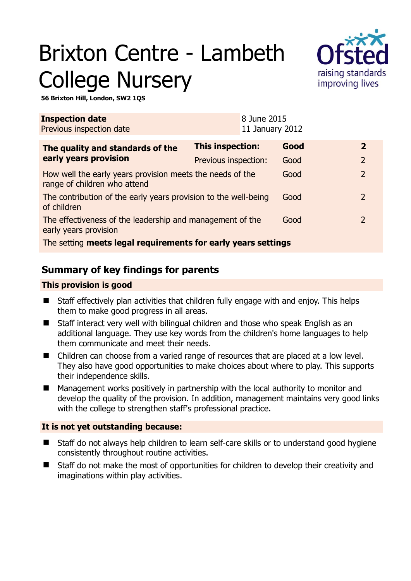# Brixton Centre - Lambeth College Nursery



**56 Brixton Hill, London, SW2 1QS** 

| <b>Inspection date</b><br>Previous inspection date                                        |                         | 8 June 2015<br>11 January 2012 |      |                |  |
|-------------------------------------------------------------------------------------------|-------------------------|--------------------------------|------|----------------|--|
| The quality and standards of the                                                          | <b>This inspection:</b> |                                | Good | $\mathbf{2}$   |  |
| early years provision                                                                     | Previous inspection:    |                                | Good | $\overline{2}$ |  |
| How well the early years provision meets the needs of the<br>range of children who attend |                         |                                | Good | $\overline{2}$ |  |
| The contribution of the early years provision to the well-being<br>of children            |                         |                                | Good | $\mathcal{L}$  |  |
| The effectiveness of the leadership and management of the<br>early years provision        |                         |                                | Good | $\mathcal{L}$  |  |
| The setting meets legal requirements for early years settings                             |                         |                                |      |                |  |

# **Summary of key findings for parents**

### **This provision is good**

- Staff effectively plan activities that children fully engage with and enjoy. This helps them to make good progress in all areas.
- Staff interact very well with bilingual children and those who speak English as an additional language. They use key words from the children's home languages to help them communicate and meet their needs.
- Children can choose from a varied range of resources that are placed at a low level. They also have good opportunities to make choices about where to play. This supports their independence skills.
- **Management works positively in partnership with the local authority to monitor and** develop the quality of the provision. In addition, management maintains very good links with the college to strengthen staff's professional practice.

## **It is not yet outstanding because:**

- Staff do not always help children to learn self-care skills or to understand good hygiene consistently throughout routine activities.
- Staff do not make the most of opportunities for children to develop their creativity and imaginations within play activities.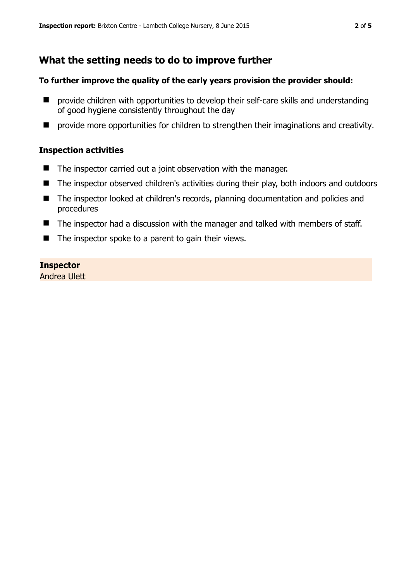## **What the setting needs to do to improve further**

#### **To further improve the quality of the early years provision the provider should:**

- $\blacksquare$  provide children with opportunities to develop their self-care skills and understanding of good hygiene consistently throughout the day
- **P** provide more opportunities for children to strengthen their imaginations and creativity.

#### **Inspection activities**

- The inspector carried out a joint observation with the manager.
- The inspector observed children's activities during their play, both indoors and outdoors
- The inspector looked at children's records, planning documentation and policies and procedures
- The inspector had a discussion with the manager and talked with members of staff.
- $\blacksquare$  The inspector spoke to a parent to gain their views.

#### **Inspector**

Andrea Ulett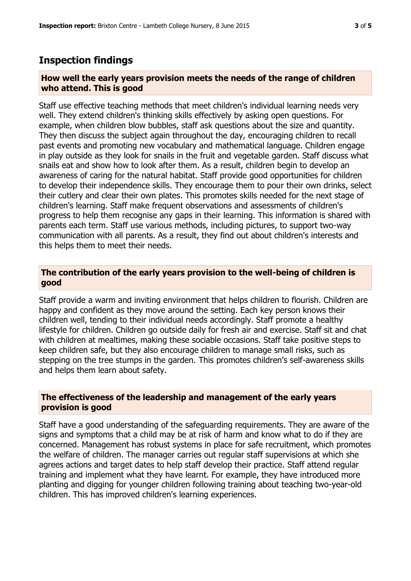## **Inspection findings**

#### **How well the early years provision meets the needs of the range of children who attend. This is good**

Staff use effective teaching methods that meet children's individual learning needs very well. They extend children's thinking skills effectively by asking open questions. For example, when children blow bubbles, staff ask questions about the size and quantity. They then discuss the subject again throughout the day, encouraging children to recall past events and promoting new vocabulary and mathematical language. Children engage in play outside as they look for snails in the fruit and vegetable garden. Staff discuss what snails eat and show how to look after them. As a result, children begin to develop an awareness of caring for the natural habitat. Staff provide good opportunities for children to develop their independence skills. They encourage them to pour their own drinks, select their cutlery and clear their own plates. This promotes skills needed for the next stage of children's learning. Staff make frequent observations and assessments of children's progress to help them recognise any gaps in their learning. This information is shared with parents each term. Staff use various methods, including pictures, to support two-way communication with all parents. As a result, they find out about children's interests and this helps them to meet their needs.

#### **The contribution of the early years provision to the well-being of children is good**

Staff provide a warm and inviting environment that helps children to flourish. Children are happy and confident as they move around the setting. Each key person knows their children well, tending to their individual needs accordingly. Staff promote a healthy lifestyle for children. Children go outside daily for fresh air and exercise. Staff sit and chat with children at mealtimes, making these sociable occasions. Staff take positive steps to keep children safe, but they also encourage children to manage small risks, such as stepping on the tree stumps in the garden. This promotes children's self-awareness skills and helps them learn about safety.

#### **The effectiveness of the leadership and management of the early years provision is good**

Staff have a good understanding of the safeguarding requirements. They are aware of the signs and symptoms that a child may be at risk of harm and know what to do if they are concerned. Management has robust systems in place for safe recruitment, which promotes the welfare of children. The manager carries out regular staff supervisions at which she agrees actions and target dates to help staff develop their practice. Staff attend regular training and implement what they have learnt. For example, they have introduced more planting and digging for younger children following training about teaching two-year-old children. This has improved children's learning experiences.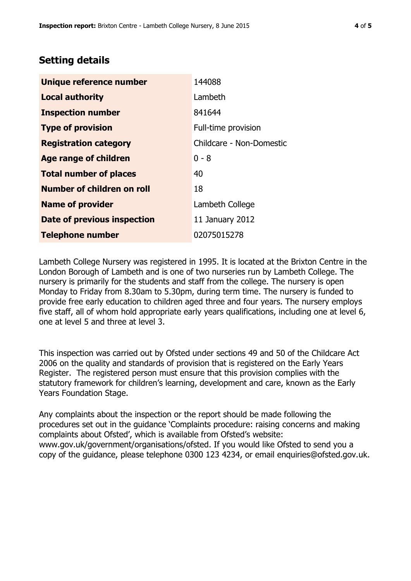## **Setting details**

| Unique reference number            | 144088                   |  |
|------------------------------------|--------------------------|--|
| <b>Local authority</b>             | Lambeth                  |  |
| <b>Inspection number</b>           | 841644                   |  |
| <b>Type of provision</b>           | Full-time provision      |  |
| <b>Registration category</b>       | Childcare - Non-Domestic |  |
| Age range of children              | $0 - 8$                  |  |
| <b>Total number of places</b>      | 40                       |  |
| Number of children on roll         | 18                       |  |
| <b>Name of provider</b>            | Lambeth College          |  |
| <b>Date of previous inspection</b> | 11 January 2012          |  |
| <b>Telephone number</b>            | 02075015278              |  |

Lambeth College Nursery was registered in 1995. It is located at the Brixton Centre in the London Borough of Lambeth and is one of two nurseries run by Lambeth College. The nursery is primarily for the students and staff from the college. The nursery is open Monday to Friday from 8.30am to 5.30pm, during term time. The nursery is funded to provide free early education to children aged three and four years. The nursery employs five staff, all of whom hold appropriate early years qualifications, including one at level 6, one at level 5 and three at level 3.

This inspection was carried out by Ofsted under sections 49 and 50 of the Childcare Act 2006 on the quality and standards of provision that is registered on the Early Years Register. The registered person must ensure that this provision complies with the statutory framework for children's learning, development and care, known as the Early Years Foundation Stage.

Any complaints about the inspection or the report should be made following the procedures set out in the guidance 'Complaints procedure: raising concerns and making complaints about Ofsted', which is available from Ofsted's website: www.gov.uk/government/organisations/ofsted. If you would like Ofsted to send you a copy of the guidance, please telephone 0300 123 4234, or email enquiries@ofsted.gov.uk.